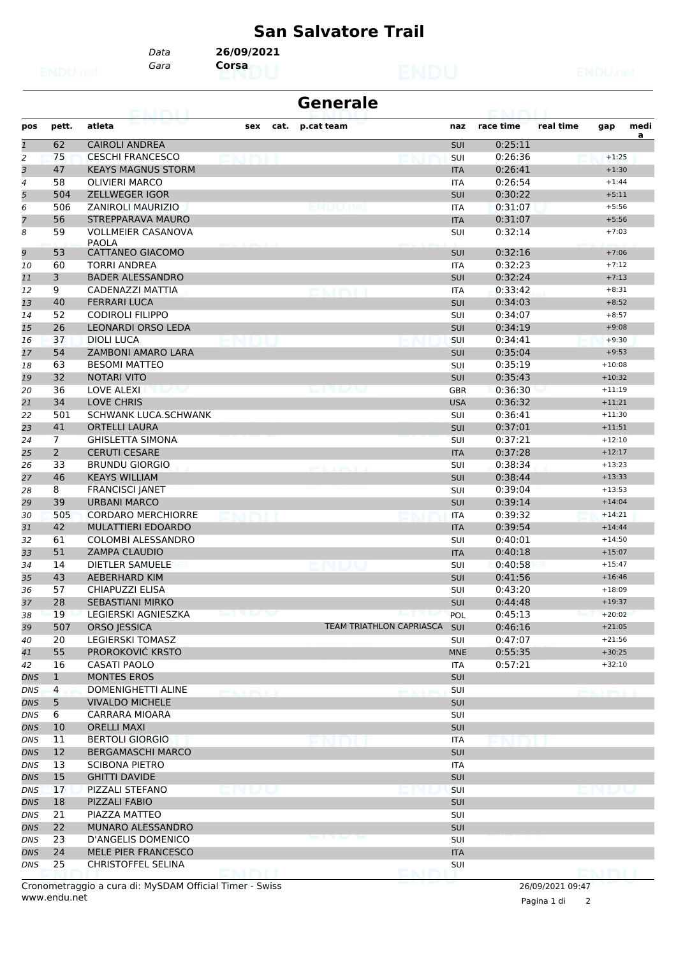## **San Salvatore Trail**

*Gara* **Corsa** *Data* **26/09/2021**

|              |                | eansi                                     |                       |      | <b>Generale</b>          |            |           |           |              |      |
|--------------|----------------|-------------------------------------------|-----------------------|------|--------------------------|------------|-----------|-----------|--------------|------|
| pos          | pett.          | atleta                                    | sex                   | cat. | p.cat team               | naz        | race time | real time | gap          | medi |
| $\mathbf{1}$ | 62             | <b>CAIROLI ANDREA</b>                     |                       |      |                          | SUI        | 0:25:11   |           |              | a    |
| 2            | 75             | <b>CESCHI FRANCESCO</b>                   |                       |      |                          | SUI        | 0:26:36   |           | $+1:25$      |      |
| 3            | 47             | <b>KEAYS MAGNUS STORM</b>                 |                       |      |                          | <b>ITA</b> | 0:26:41   |           | $+1:30$      |      |
| 4            | 58             | <b>OLIVIERI MARCO</b>                     |                       |      |                          | <b>ITA</b> | 0:26:54   |           | $+1:44$      |      |
| 5            | 504            | <b>ZELLWEGER IGOR</b>                     |                       |      |                          | <b>SUI</b> | 0:30:22   |           | $+5:11$      |      |
| 6            | 506            | <b>ZANIROLI MAURIZIO</b>                  |                       |      |                          | <b>ITA</b> | 0:31:07   |           | $+5:56$      |      |
| 7            | 56             | <b>STREPPARAVA MAURO</b>                  |                       |      |                          | <b>ITA</b> | 0:31:07   |           | $+5:56$      |      |
| 8            | 59             | <b>VOLLMEIER CASANOVA</b><br><b>PAOLA</b> |                       |      |                          | SUI        | 0:32:14   |           | $+7:03$      |      |
| 9            | 53             | CATTANEO GIACOMO                          |                       |      |                          | SUI        | 0:32:16   |           | $+7:06$      |      |
| 10           | 60             | <b>TORRI ANDREA</b>                       |                       |      |                          | <b>ITA</b> | 0:32:23   |           | $+7:12$      |      |
| 11           | 3              | <b>BADER ALESSANDRO</b>                   |                       |      |                          | SUI        | 0:32:24   |           | $+7:13$      |      |
| 12           | 9              | CADENAZZI MATTIA                          |                       |      | ealmil                   | <b>ITA</b> | 0:33:42   |           | $+8:31$      |      |
| 13           | 40             | <b>FERRARI LUCA</b>                       |                       |      |                          | SUI        | 0:34:03   |           | $+8:52$      |      |
| 14           | 52             | <b>CODIROLI FILIPPO</b>                   |                       |      |                          | SUI        | 0:34:07   |           | $+8:57$      |      |
| 15           | 26             | <b>LEONARDI ORSO LEDA</b>                 |                       |      |                          | SUI        | 0:34:19   |           | $+9:08$      |      |
| 16           | 37             | <b>DIOLI LUCA</b>                         |                       |      |                          | SUI        | 0:34:41   |           | $+9:30$      |      |
| 17           | 54             | ZAMBONI AMARO LARA                        |                       |      |                          | SUI        | 0:35:04   |           | $+9:53$      |      |
| 18           | 63             | <b>BESOMI MATTEO</b>                      |                       |      |                          | SUI        | 0:35:19   |           | $+10:08$     |      |
|              | 32             | <b>NOTARI VITO</b>                        |                       |      |                          |            | 0:35:43   |           | $+10:32$     |      |
| 19           |                |                                           |                       |      |                          | SUI        |           |           |              |      |
| 20           | 36             | LOVE ALEXI<br>u a                         |                       |      | <u>le in lyn</u>         | <b>GBR</b> | 0:36:30   |           | $+11:19$     |      |
| 21           | 34             | <b>LOVE CHRIS</b>                         |                       |      |                          | <b>USA</b> | 0:36:32   |           | $+11:21$     |      |
| 22           | 501            | SCHWANK LUCA.SCHWANK                      |                       |      |                          | SUI        | 0:36:41   |           | $+11:30$     |      |
| 23           | 41             | <b>ORTELLI LAURA</b>                      |                       |      |                          | SUI        | 0:37:01   |           | $+11:51$     |      |
| 24           | $7^{\circ}$    | <b>GHISLETTA SIMONA</b>                   |                       |      |                          | SUI        | 0:37:21   |           | $+12:10$     |      |
| 25           | $\overline{2}$ | <b>CERUTI CESARE</b>                      |                       |      |                          | <b>ITA</b> | 0:37:28   |           | $+12:17$     |      |
| 26           | 33             | <b>BRUNDU GIORGIO</b>                     |                       |      | port in the property of  | SUI        | 0:38:34   |           | $+13:23$     |      |
| 27           | 46             | <b>KEAYS WILLIAM</b>                      |                       |      |                          | <b>SUI</b> | 0:38:44   |           | $+13:33$     |      |
| 28           | 8              | <b>FRANCISCI JANET</b>                    |                       |      |                          | <b>SUI</b> | 0:39:04   |           | $+13:53$     |      |
| 29           | 39             | <b>URBANI MARCO</b>                       |                       |      |                          | SUI        | 0:39:14   |           | $+14:04$     |      |
| 30           | 505            | <b>CORDARO MERCHIORRE</b>                 | ro inst               |      |                          | <b>ITA</b> | 0:39:32   |           | $+14:21$     |      |
| 31           | 42             | MULATTIERI EDOARDO                        |                       |      |                          | <b>ITA</b> | 0:39:54   |           | $+14:44$     |      |
| 32           | 61             | COLOMBI ALESSANDRO                        |                       |      |                          | SUI        | 0:40:01   |           | $+14:50$     |      |
| 33           | 51             | <b>ZAMPA CLAUDIO</b>                      |                       |      |                          | <b>ITA</b> | 0:40:18   |           | $+15:07$     |      |
| 34           | 14             | <b>DIETLER SAMUELE</b>                    |                       |      |                          | <b>SUI</b> | 0:40:58   |           | $+15:47$     |      |
| 35           | 43             | <b>AEBERHARD KIM</b>                      |                       |      |                          | SUI        | 0:41:56   |           | $+16:46$     |      |
| 36           | 57             | CHIAPUZZI ELISA                           |                       |      |                          | SUI        | 0:43:20   |           | $+18:09$     |      |
| 37           | 28             | <b>SEBASTIANI MIRKO</b>                   |                       |      |                          | <b>SUI</b> | 0:44:48   |           | $+19:37$     |      |
| 38           | 19             | LEGIERSKI AGNIESZKA                       | است والمنازيات والمسا |      |                          | <b>POL</b> | 0:45:13   |           | $+20:02$     |      |
| 39           | 507            | ORSO JESSICA                              |                       |      | TEAM TRIATHLON CAPRIASCA | SUI        | 0:46:16   |           | $+21:05$     |      |
| 40           | 20             | <b>LEGIERSKI TOMASZ</b>                   |                       |      |                          | <b>SUI</b> | 0:47:07   |           | $+21:56$     |      |
| 41           | 55             | PROROKOVIĆ KRSTO                          |                       |      |                          | <b>MNE</b> | 0:55:35   |           | $+30:25$     |      |
| 42           | 16             | <b>CASATI PAOLO</b>                       |                       |      |                          | ITA        | 0:57:21   |           | $+32:10$     |      |
| DNS          | $\mathbf{1}$   | MONTES EROS                               |                       |      |                          | SUI        |           |           |              |      |
| DNS          | $\overline{4}$ | DOMENIGHETTI ALINE                        |                       |      |                          | <b>SUI</b> |           |           |              |      |
| <b>DNS</b>   | 5              | <b>VIVALDO MICHELE</b>                    | <b>ENIBY</b>          |      |                          | SUI        |           |           | <b>ENIBY</b> |      |
|              |                |                                           |                       |      |                          |            |           |           |              |      |
| DNS          | 6              | CARRARA MIOARA                            |                       |      |                          | <b>SUI</b> |           |           |              |      |
| <b>DNS</b>   | 10             | <b>ORELLI MAXI</b>                        |                       |      |                          | SUI        |           |           |              |      |
| <b>DNS</b>   | 11             | <b>BERTOLI GIORGIO</b>                    |                       |      | ENDIJ                    | ITA        | ernimi    |           |              |      |
| <b>DNS</b>   | 12             | <b>BERGAMASCHI MARCO</b>                  |                       |      |                          | SUI        |           |           |              |      |
| DNS          | 13             | <b>SCIBONA PIETRO</b>                     |                       |      |                          | ITA        |           |           |              |      |
| <b>DNS</b>   | 15             | <b>GHITTI DAVIDE</b>                      |                       |      |                          | SUI        |           |           |              |      |
| DNS          | 17             | PIZZALI STEFANO                           | vija                  |      |                          | <b>SUI</b> |           |           |              |      |
| <b>DNS</b>   | 18             | PIZZALI FABIO                             |                       |      |                          | SUI        |           |           |              |      |
| <b>DNS</b>   | 21             | PIAZZA MATTEO                             |                       |      |                          | SUI        |           |           |              |      |
| <b>DNS</b>   | 22             | MUNARO ALESSANDRO                         |                       |      |                          | SUI        |           |           |              |      |
| <b>DNS</b>   | 23             | D'ANGELIS DOMENICO                        |                       |      |                          | SUI        |           |           |              |      |
| <b>DNS</b>   | 24             | MELE PIER FRANCESCO                       |                       |      |                          | <b>ITA</b> |           |           |              |      |
| <b>DNS</b>   | 25             | <b>CHRISTOFFEL SELINA</b>                 |                       |      |                          | SUI        |           |           |              |      |
|              |                |                                           |                       |      |                          |            |           |           |              |      |

www.endu.net Cronometraggio a cura di: MySDAM Official Timer - Swiss 26/09/2021 09:47

Pagina 1 di 2